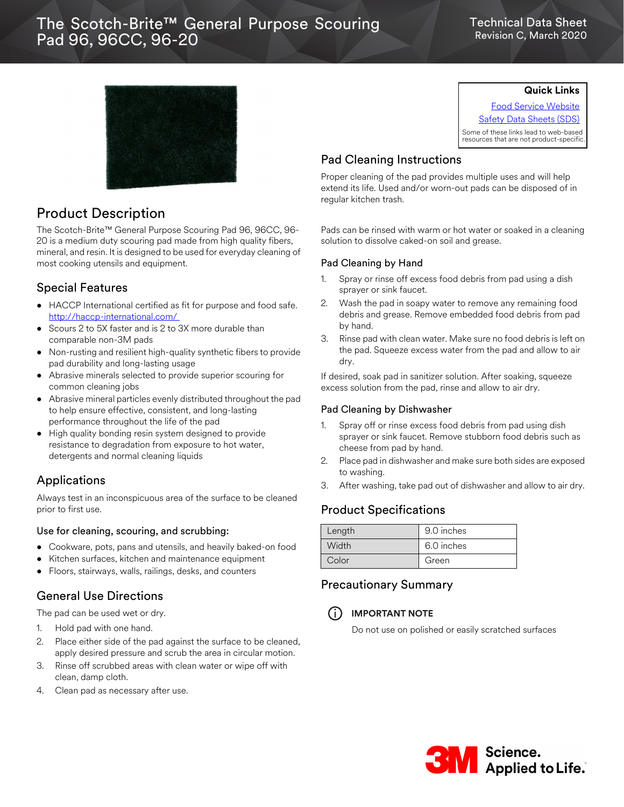# The Scotch-Brite™ General Purpose Scouring 96, 96CC, 96-20 Pad 96, 96CC, 96-20

#### Technical Data Sheet Revision C, March 2020



## Product Description

The Scotch-Brite™ General Purpose Scouring Pad 96, 96CC, 96- 20 is a medium duty scouring pad made from high quality fibers, mineral, and resin. It is designed to be used for everyday cleaning of most cooking utensils and equipment.

## Special Features

- HACCP International certified as fit for purpose and food safe. [http://haccp-international.com/](http://haccp-international.com/ )
- Scours 2 to 5X faster and is 2 to 3X more durable than comparable non-3M pads
- Non-rusting and resilient high-quality synthetic fibers to provide pad durability and long-lasting usage
- Abrasive minerals selected to provide superior scouring for common cleaning jobs
- Abrasive mineral particles evenly distributed throughout the pad to help ensure effective, consistent, and long-lasting performance throughout the life of the pad
- High quality bonding resin system designed to provide resistance to degradation from exposure to hot water, detergents and normal cleaning liquids

### Applications

Always test in an inconspicuous area of the surface to be cleaned prior to first use.

#### Use for cleaning, scouring, and scrubbing:

- Cookware, pots, pans and utensils, and heavily baked-on food
- Kitchen surfaces, kitchen and maintenance equipment
- Floors, stairways, walls, railings, desks, and counters

## General Use Directions

The pad can be used wet or dry.

- 1. Hold pad with one hand.
- 2. Place either side of the pad against the surface to be cleaned, apply desired pressure and scrub the area in circular motion.
- 3. Rinse off scrubbed areas with clean water or wipe off with clean, damp cloth.
- 4. Clean pad as necessary after use.

## **Quick Links**

[Food Service Website](www.mmm.com/foodservice) [Safety Data Sheets \(SDS\)](http://solutions.3m.com/wps/portal/3M/en_WW/MSDS/Search?gsaAction=msdsSRA) Some of these links lead to web-based

resources that are not product-specific.

## Pad Cleaning Instructions

Proper cleaning of the pad provides multiple uses and will help extend its life. Used and/or worn-out pads can be disposed of in regular kitchen trash.

Pads can be rinsed with warm or hot water or soaked in a cleaning solution to dissolve caked-on soil and grease.

#### Pad Cleaning by Hand

- 1. Spray or rinse off excess food debris from pad using a dish sprayer or sink faucet.
- 2. Wash the pad in soapy water to remove any remaining food debris and grease. Remove embedded food debris from pad by hand.
- 3. Rinse pad with clean water. Make sure no food debris is left on the pad. Squeeze excess water from the pad and allow to air dry.

If desired, soak pad in sanitizer solution. After soaking, squeeze excess solution from the pad, rinse and allow to air dry.

#### Pad Cleaning by Dishwasher

- 1. Spray off or rinse excess food debris from pad using dish sprayer or sink faucet. Remove stubborn food debris such as cheese from pad by hand.
- 2. Place pad in dishwasher and make sure both sides are exposed to washing.
- 3. After washing, take pad out of dishwasher and allow to air dry.

## Product Specifications

| Length | 9.0 inches |
|--------|------------|
| Width  | 6.0 inches |
| Color  | Green      |

### Precautionary Summary



i **IMPORTANT NOTE**

Do not use on polished or easily scratched surfaces